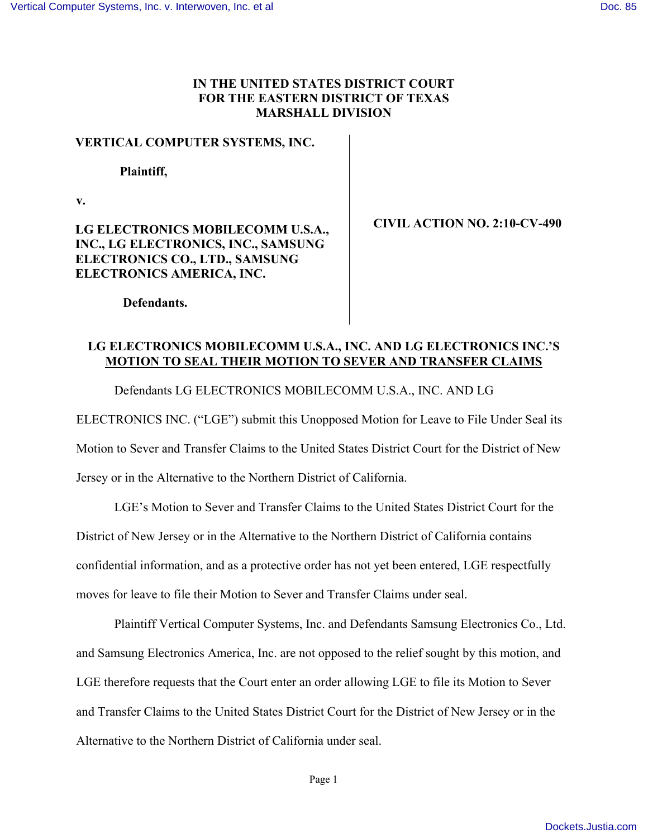## **IN THE UNITED STATES DISTRICT COURT FOR THE EASTERN DISTRICT OF TEXAS MARSHALL DIVISION**

#### **VERTICAL COMPUTER SYSTEMS, INC.**

#### **Plaintiff,**

**v.** 

# **LG ELECTRONICS MOBILECOMM U.S.A., INC., LG ELECTRONICS, INC., SAMSUNG ELECTRONICS CO., LTD., SAMSUNG ELECTRONICS AMERICA, INC.**

**CIVIL ACTION NO. 2:10-CV-490** 

 **Defendants.** 

# **LG ELECTRONICS MOBILECOMM U.S.A., INC. AND LG ELECTRONICS INC.'S MOTION TO SEAL THEIR MOTION TO SEVER AND TRANSFER CLAIMS**

Defendants LG ELECTRONICS MOBILECOMM U.S.A., INC. AND LG

ELECTRONICS INC. ("LGE") submit this Unopposed Motion for Leave to File Under Seal its

Motion to Sever and Transfer Claims to the United States District Court for the District of New

Jersey or in the Alternative to the Northern District of California.

LGE's Motion to Sever and Transfer Claims to the United States District Court for the

District of New Jersey or in the Alternative to the Northern District of California contains

confidential information, and as a protective order has not yet been entered, LGE respectfully

moves for leave to file their Motion to Sever and Transfer Claims under seal.

Plaintiff Vertical Computer Systems, Inc. and Defendants Samsung Electronics Co., Ltd. and Samsung Electronics America, Inc. are not opposed to the relief sought by this motion, and LGE therefore requests that the Court enter an order allowing LGE to file its Motion to Sever and Transfer Claims to the United States District Court for the District of New Jersey or in the Alternative to the Northern District of California under seal.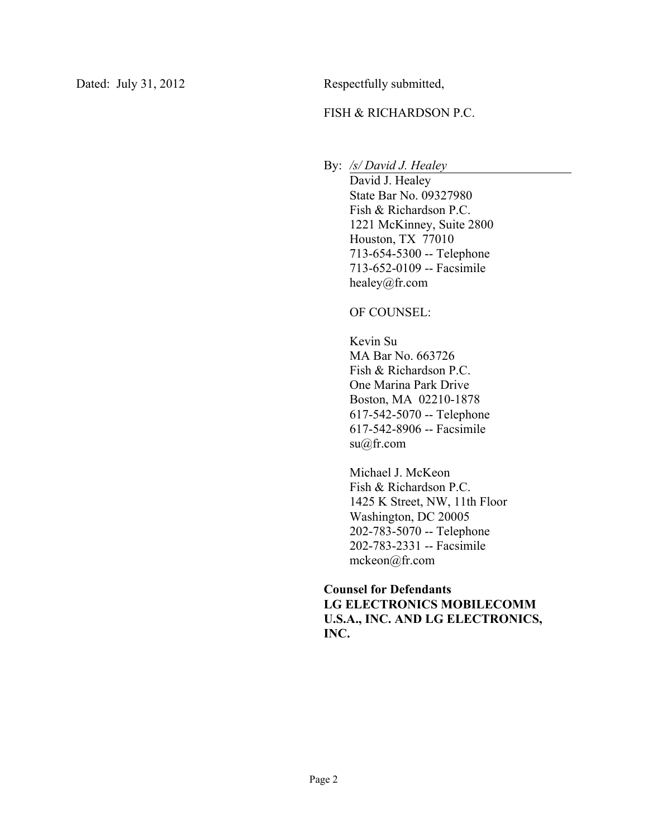## FISH & RICHARDSON P.C.

By: */s/ David J. Healey*

David J. Healey State Bar No. 09327980 Fish & Richardson P.C. 1221 McKinney, Suite 2800 Houston, TX 77010 713-654-5300 -- Telephone 713-652-0109 -- Facsimile healey@fr.com

OF COUNSEL:

Kevin Su MA Bar No. 663726 Fish & Richardson P.C. One Marina Park Drive Boston, MA 02210-1878 617-542-5070 -- Telephone 617-542-8906 -- Facsimile su@fr.com

Michael J. McKeon Fish & Richardson P.C. 1425 K Street, NW, 11th Floor Washington, DC 20005 202-783-5070 -- Telephone 202-783-2331 -- Facsimile mckeon@fr.com

## **Counsel for Defendants LG ELECTRONICS MOBILECOMM U.S.A., INC. AND LG ELECTRONICS, INC.**